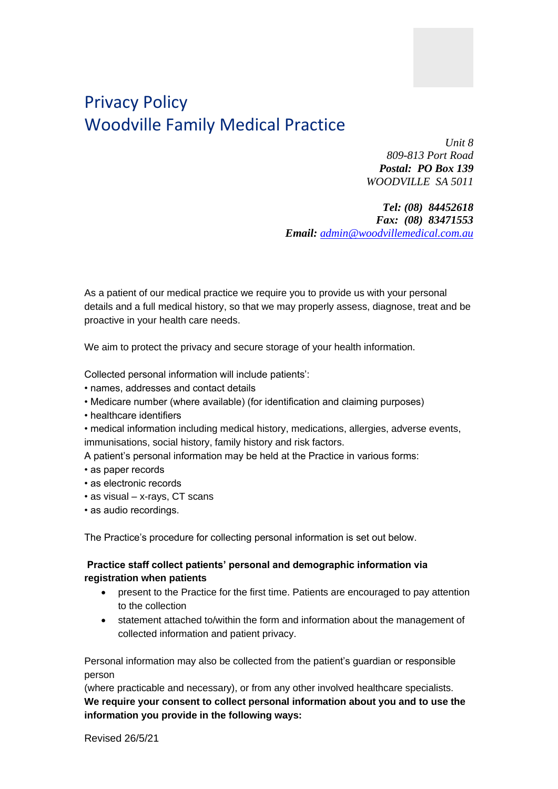# Privacy Policy Woodville Family Medical Practice

*Unit 8 809-813 Port Road Postal: PO Box 139 WOODVILLE SA 5011*

*Tel: (08) 84452618 Fax: (08) 83471553 Email: [admin@woodvillemedical.com.au](mailto:admin@woodvillemedical.com.au)*

As a patient of our medical practice we require you to provide us with your personal details and a full medical history, so that we may properly assess, diagnose, treat and be proactive in your health care needs.

We aim to protect the privacy and secure storage of your health information.

Collected personal information will include patients':

- names, addresses and contact details
- Medicare number (where available) (for identification and claiming purposes)
- healthcare identifiers
- medical information including medical history, medications, allergies, adverse events, immunisations, social history, family history and risk factors.

A patient's personal information may be held at the Practice in various forms:

- as paper records
- as electronic records
- as visual x-rays, CT scans
- as audio recordings.

The Practice's procedure for collecting personal information is set out below.

### **Practice staff collect patients' personal and demographic information via registration when patients**

- present to the Practice for the first time. Patients are encouraged to pay attention to the collection
- statement attached to/within the form and information about the management of collected information and patient privacy.

Personal information may also be collected from the patient's guardian or responsible person

(where practicable and necessary), or from any other involved healthcare specialists. **We require your consent to collect personal information about you and to use the information you provide in the following ways:**

Revised 26/5/21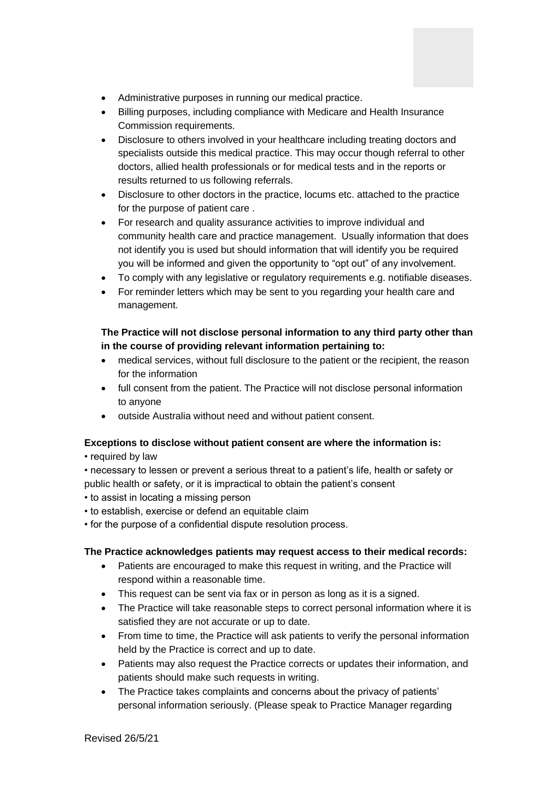- Administrative purposes in running our medical practice.
- Billing purposes, including compliance with Medicare and Health Insurance Commission requirements.
- Disclosure to others involved in your healthcare including treating doctors and specialists outside this medical practice. This may occur though referral to other doctors, allied health professionals or for medical tests and in the reports or results returned to us following referrals.
- Disclosure to other doctors in the practice, locums etc. attached to the practice for the purpose of patient care .
- For research and quality assurance activities to improve individual and community health care and practice management. Usually information that does not identify you is used but should information that will identify you be required you will be informed and given the opportunity to "opt out" of any involvement.
- To comply with any legislative or regulatory requirements e.g. notifiable diseases.
- For reminder letters which may be sent to you regarding your health care and management.

## **The Practice will not disclose personal information to any third party other than in the course of providing relevant information pertaining to:**

- medical services, without full disclosure to the patient or the recipient, the reason for the information
- full consent from the patient. The Practice will not disclose personal information to anyone
- outside Australia without need and without patient consent.

# **Exceptions to disclose without patient consent are where the information is:**

• required by law

- necessary to lessen or prevent a serious threat to a patient's life, health or safety or public health or safety, or it is impractical to obtain the patient's consent
- to assist in locating a missing person
- to establish, exercise or defend an equitable claim
- for the purpose of a confidential dispute resolution process.

### **The Practice acknowledges patients may request access to their medical records:**

- Patients are encouraged to make this request in writing, and the Practice will respond within a reasonable time.
- This request can be sent via fax or in person as long as it is a signed.
- The Practice will take reasonable steps to correct personal information where it is satisfied they are not accurate or up to date.
- From time to time, the Practice will ask patients to verify the personal information held by the Practice is correct and up to date.
- Patients may also request the Practice corrects or updates their information, and patients should make such requests in writing.
- The Practice takes complaints and concerns about the privacy of patients' personal information seriously. (Please speak to Practice Manager regarding